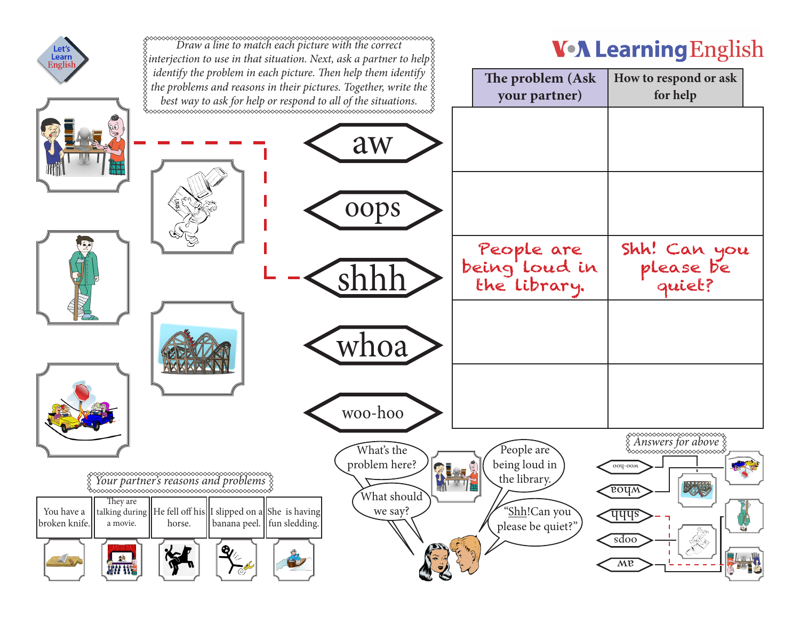| Let's<br>Learn<br>English                                                      | $\S$ interjection to use in that situation. Next, ask a partner to help $\S$                                                                                                                                                          |                                                             | <b>V-A Learning English</b>                                                      |                                                                                                    |
|--------------------------------------------------------------------------------|---------------------------------------------------------------------------------------------------------------------------------------------------------------------------------------------------------------------------------------|-------------------------------------------------------------|----------------------------------------------------------------------------------|----------------------------------------------------------------------------------------------------|
|                                                                                | identify the problem in each picture. Then help them identify<br>the problems and reasons in their pictures. Together, write the $\frac{5}{3}$<br>best way to ask for help or respond to all of the situations.                       |                                                             | The problem (Ask<br>your partner)                                                | How to respond or ask<br>for help                                                                  |
|                                                                                |                                                                                                                                                                                                                                       | aw<br>oops                                                  |                                                                                  |                                                                                                    |
|                                                                                |                                                                                                                                                                                                                                       |                                                             | People are<br>being loud in<br>the library.                                      | Shh! Can you<br>please be<br>quiet?                                                                |
|                                                                                |                                                                                                                                                                                                                                       | vhoa<br>woo-hoo                                             |                                                                                  |                                                                                                    |
| They are<br>You have a<br>broken knife.<br>a movie.<br>增<br>LISA<br><b>WIS</b> | <sup>ৡ</sup> ∞∞∞∞∞∞∞∞∞∞∞∞∞∞∞∞∞∞∞∞∞∞∞∞∞∞∞∞∞∞<br>talking during $\left\  \right\ $ He fell off his $\left\  \right\ $ slipped on a $\left\  \right\ $ She is having<br>banana peel.    fun sledding.<br>horse.<br>$\mathbf{R}^{\prime}$ | What's the<br>problem here?<br>界上<br>What should<br>we say? | People are<br>being loud in<br>the library.<br>"Shh!Can you<br>please be quiet?" | ◇◇◇◇◇◇◇◇◇◇◇◇◇◇◇◇<br>ооц-оом<br><b>BOUW</b><br><u>पपपञ्</u><br><b>AD</b><br>sdoo<br>$\overline{MP}$ |